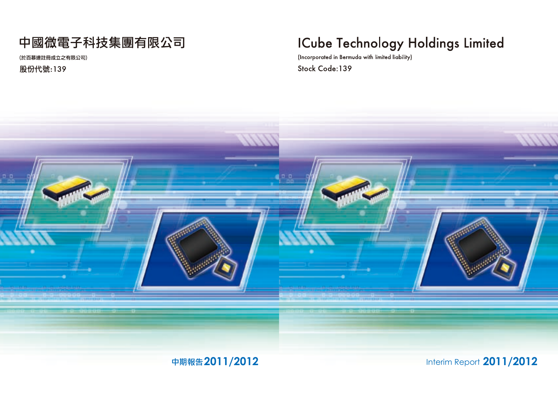# **ICube Technology Holdings Limited**

(Incorporated in Bermuda with limited liability)

# Stock Code: 139



# 中期報告**2011/2012** Interim Report **2011/2012**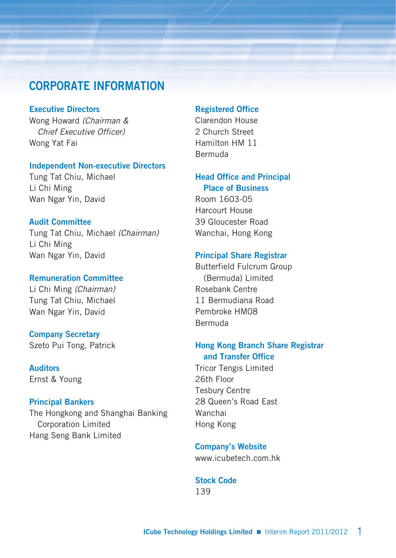# **CORPORATE INFORMATION**

#### **Executive Directors**

Wong Howard *(Chairman & Chief Executive Officer)* Wong Yat Fai

#### **Independent Non-executive Directors**

Tung Tat Chiu, Michael Li Chi Ming Wan Ngar Yin, David

#### **Audit Committee**

Tung Tat Chiu, Michael *(Chairman)* Li Chi Ming Wan Ngar Yin, David

#### **Remuneration Committee**

Li Chi Ming *(Chairman)* Tung Tat Chiu, Michael Wan Ngar Yin, David

#### **Company Secretary** Szeto Pui Tong, Patrick

#### **Auditors** Ernst & Young

#### **Principal Bankers**

The Hongkong and Shanghai Banking Corporation Limited Hang Seng Bank Limited

#### **Registered Office**

Clarendon House 2 Church Street Hamilton HM 11 Bermuda

#### **Head Office and Principal Place of Business**

Room 1603-05 Harcourt House 39 Gloucester Road Wanchai, Hong Kong

#### **Principal Share Registrar**

Butterfield Fulcrum Group (Bermuda) Limited Rosebank Centre 11 Bermudiana Road Pembroke HM08 Bermuda

#### **Hong Kong Branch Share Registrar and Transfer Office**

Tricor Tengis Limited 26th Floor Tesbury Centre 28 Queen's Road East Wanchai Hong Kong

**Company's Website** www.icubetech.com.hk

#### **Stock Code** 139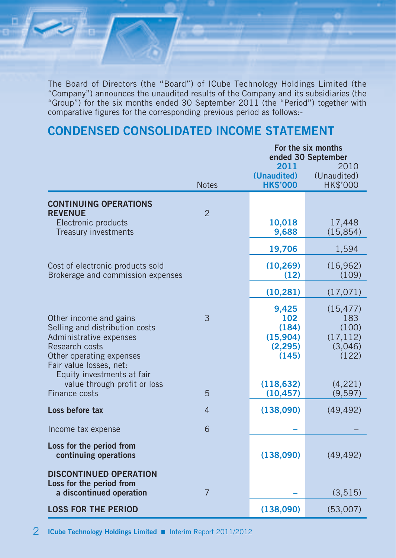The Board of Directors (the "Board") of ICube Technology Holdings Limited (the "Company") announces the unaudited results of the Company and its subsidiaries (the "Group") for the six months ended 30 September 2011 (the "Period") together with comparative figures for the corresponding previous period as follows:-

# **CONDENSED CONSOLIDATED INCOME STATEMENT**

|                                                                                                                                                              |                |                                                        | For the six months<br>ended 30 September                   |  |  |  |
|--------------------------------------------------------------------------------------------------------------------------------------------------------------|----------------|--------------------------------------------------------|------------------------------------------------------------|--|--|--|
|                                                                                                                                                              | <b>Notes</b>   | 2011<br>(Unaudited)<br><b>HK\$'000</b>                 | 2010<br>(Unaudited)<br>HK\$'000                            |  |  |  |
| <b>CONTINUING OPERATIONS</b><br><b>REVENUE</b>                                                                                                               | $\overline{2}$ |                                                        |                                                            |  |  |  |
| Electronic products<br>Treasury investments                                                                                                                  |                | 10,018<br>9,688                                        | 17,448<br>(15, 854)                                        |  |  |  |
|                                                                                                                                                              |                | 19,706                                                 | 1,594                                                      |  |  |  |
| Cost of electronic products sold<br>Brokerage and commission expenses                                                                                        |                | (10, 269)<br>(12)                                      | (16, 962)<br>(109)                                         |  |  |  |
|                                                                                                                                                              |                | (10, 281)                                              | (17,071)                                                   |  |  |  |
| Other income and gains<br>Selling and distribution costs<br>Administrative expenses<br>Research costs<br>Other operating expenses<br>Fair value losses, net: | 3              | 9,425<br>102<br>(184)<br>(15,904)<br>(2, 295)<br>(145) | (15, 477)<br>183<br>(100)<br>(17, 112)<br>(3,046)<br>(122) |  |  |  |
| Equity investments at fair<br>value through profit or loss<br>Finance costs                                                                                  | 5              | (118, 632)<br>(10, 457)                                | (4,221)<br>(9, 597)                                        |  |  |  |
| Loss before tax                                                                                                                                              | $\overline{4}$ | (138,090)                                              | (49, 492)                                                  |  |  |  |
| Income tax expense                                                                                                                                           | 6              |                                                        |                                                            |  |  |  |
| Loss for the period from<br>continuing operations                                                                                                            |                | (138,090)                                              | (49, 492)                                                  |  |  |  |
| <b>DISCONTINUED OPERATION</b><br>Loss for the period from<br>a discontinued operation                                                                        | $\overline{7}$ |                                                        | (3, 515)                                                   |  |  |  |
| <b>LOSS FOR THE PERIOD</b>                                                                                                                                   |                | (138,090)                                              | (53,007)                                                   |  |  |  |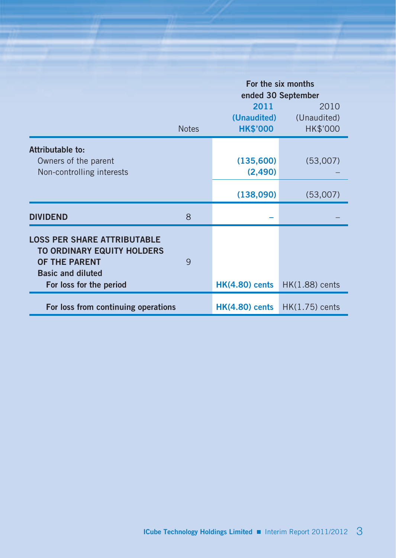|                                                                                                                                                 |              | For the six months<br>ended 30 September |                                 |  |  |  |
|-------------------------------------------------------------------------------------------------------------------------------------------------|--------------|------------------------------------------|---------------------------------|--|--|--|
|                                                                                                                                                 | <b>Notes</b> | 2011<br>(Unaudited)<br><b>HK\$'000</b>   | 2010<br>(Unaudited)<br>HK\$'000 |  |  |  |
|                                                                                                                                                 |              |                                          |                                 |  |  |  |
| Attributable to:<br>Owners of the parent<br>Non-controlling interests                                                                           |              | (135,600)<br>(2,490)                     | (53,007)                        |  |  |  |
|                                                                                                                                                 |              | (138,090)                                | (53,007)                        |  |  |  |
| <b>DIVIDEND</b>                                                                                                                                 | 8            |                                          |                                 |  |  |  |
| <b>LOSS PER SHARE ATTRIBUTABLE</b><br><b>TO ORDINARY EQUITY HOLDERS</b><br>OF THE PARENT<br><b>Basic and diluted</b><br>For loss for the period | 9            | $HK(4.80)$ cents                         | $HK(1.88)$ cents                |  |  |  |
|                                                                                                                                                 |              |                                          |                                 |  |  |  |
| For loss from continuing operations                                                                                                             |              | <b>HK(4.80) cents</b>                    | $HK(1.75)$ cents                |  |  |  |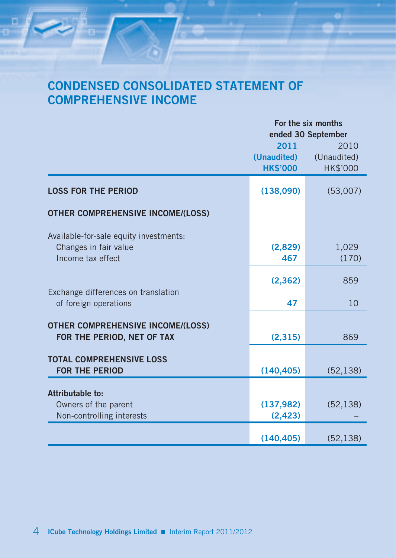# **CONDENSED CONSOLIDATED STATEMENT OF COMPREHENSIVE INCOME**

|                                                                                      | For the six months<br>ended 30 September |                                 |  |  |
|--------------------------------------------------------------------------------------|------------------------------------------|---------------------------------|--|--|
|                                                                                      | 2011<br>(Unaudited)<br><b>HK\$'000</b>   | 2010<br>(Unaudited)<br>HK\$'000 |  |  |
| <b>LOSS FOR THE PERIOD</b>                                                           | (138,090)                                | (53,007)                        |  |  |
| <b>OTHER COMPREHENSIVE INCOME/(LOSS)</b>                                             |                                          |                                 |  |  |
| Available-for-sale equity investments:<br>Changes in fair value<br>Income tax effect | (2,829)<br>467                           | 1,029<br>(170)                  |  |  |
| Exchange differences on translation<br>of foreign operations                         | (2, 362)<br>47                           | 859<br>10                       |  |  |
| <b>OTHER COMPREHENSIVE INCOME/(LOSS)</b><br>FOR THE PERIOD, NET OF TAX               | (2,315)                                  | 869                             |  |  |
| <b>TOTAL COMPREHENSIVE LOSS</b><br><b>FOR THE PERIOD</b>                             | (140, 405)                               | (52, 138)                       |  |  |
| Attributable to:<br>Owners of the parent<br>Non-controlling interests                | (137, 982)<br>(2, 423)                   | (52, 138)                       |  |  |
|                                                                                      | (140, 405)                               | (52, 138)                       |  |  |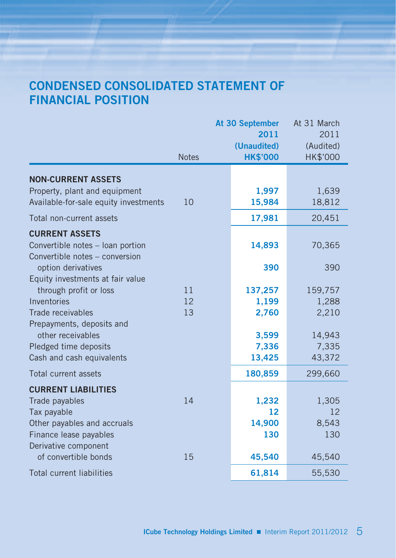# **CONDENSED CONSOLIDATED STATEMENT OF FINANCIAL POSITION**

|                                                |              | At 30 September                | At 31 March           |
|------------------------------------------------|--------------|--------------------------------|-----------------------|
|                                                |              | 2011                           | 2011                  |
|                                                | <b>Notes</b> | (Unaudited)<br><b>HK\$'000</b> | (Audited)<br>HK\$'000 |
|                                                |              |                                |                       |
| <b>NON-CURRENT ASSETS</b>                      |              |                                |                       |
| Property, plant and equipment                  |              | 1,997                          | 1,639                 |
| Available-for-sale equity investments          | 10           | 15,984                         | 18,812                |
| Total non-current assets                       |              | 17,981                         | 20,451                |
| <b>CURRENT ASSETS</b>                          |              |                                |                       |
| Convertible notes - loan portion               |              | 14,893                         | 70,365                |
| Convertible notes - conversion                 |              |                                |                       |
| option derivatives                             |              | 390                            | 390                   |
| Equity investments at fair value               |              |                                |                       |
| through profit or loss                         | 11           | 137,257                        | 159,757               |
| Inventories                                    | 12           | 1,199                          | 1,288                 |
| Trade receivables<br>Prepayments, deposits and | 13           | 2,760                          | 2,210                 |
| other receivables                              |              | 3,599                          | 14,943                |
| Pledged time deposits                          |              | 7,336                          | 7,335                 |
| Cash and cash equivalents                      |              | 13,425                         | 43,372                |
|                                                |              |                                |                       |
| Total current assets                           |              | 180,859                        | 299,660               |
| <b>CURRENT LIABILITIES</b>                     |              |                                |                       |
| Trade payables                                 | 14           | 1,232                          | 1,305                 |
| Tax payable                                    |              | 12                             | 12                    |
| Other payables and accruals                    |              | 14,900                         | 8,543                 |
| Finance lease payables                         |              | 130                            | 130                   |
| Derivative component                           |              |                                |                       |
| of convertible bonds                           | 15           | 45,540                         | 45,540                |
| <b>Total current liabilities</b>               |              | 61,814                         | 55,530                |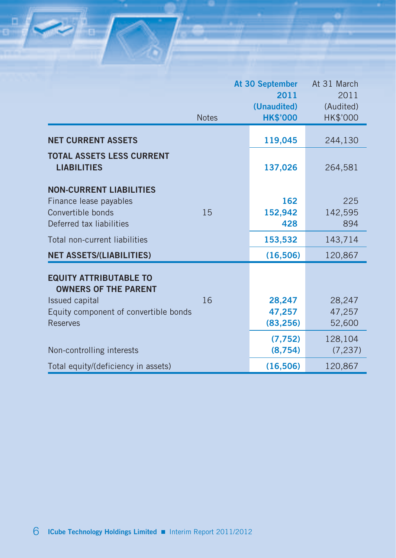|                                                              | At 30 September |  |                                | At 31 March           |
|--------------------------------------------------------------|-----------------|--|--------------------------------|-----------------------|
|                                                              |                 |  | 2011                           | 2011                  |
|                                                              | <b>Notes</b>    |  | (Unaudited)<br><b>HK\$'000</b> | (Audited)<br>HK\$'000 |
|                                                              |                 |  |                                |                       |
| <b>NET CURRENT ASSETS</b>                                    |                 |  | 119,045                        | 244,130               |
| <b>TOTAL ASSETS LESS CURRENT</b>                             |                 |  |                                |                       |
| <b>LIABILITIES</b>                                           |                 |  | 137,026                        | 264,581               |
| <b>NON-CURRENT LIABILITIES</b>                               |                 |  |                                |                       |
| Finance lease payables                                       |                 |  | 162                            | 225                   |
| Convertible bonds                                            | 15              |  | 152,942                        | 142,595               |
| Deferred tax liabilities                                     |                 |  | 428                            | 894                   |
| Total non-current liabilities                                |                 |  | 153,532                        | 143,714               |
| <b>NET ASSETS/(LIABILITIES)</b>                              |                 |  | (16, 506)                      | 120,867               |
|                                                              |                 |  |                                |                       |
| <b>EQUITY ATTRIBUTABLE TO</b><br><b>OWNERS OF THE PARENT</b> |                 |  |                                |                       |
| Issued capital                                               | 16              |  | 28,247                         | 28,247                |
| Equity component of convertible bonds                        |                 |  | 47,257                         | 47,257                |
| <b>Reserves</b>                                              |                 |  | (83, 256)                      | 52,600                |
|                                                              |                 |  | (7, 752)                       | 128,104               |
| Non-controlling interests                                    |                 |  | (8,754)                        | (7, 237)              |
| Total equity/(deficiency in assets)                          |                 |  | (16, 506)                      | 120,867               |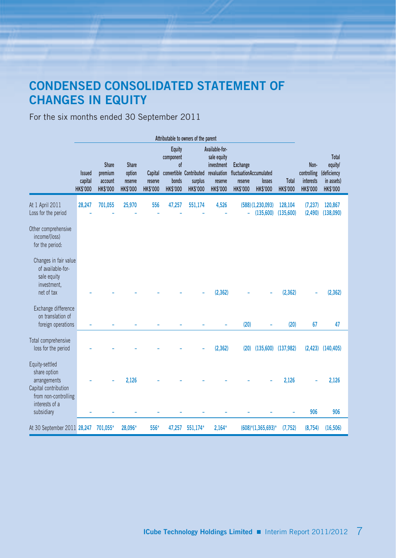# **CONDENSED CONSOLIDATED STATEMENT OF CHANGES IN EQUITY**

### For the six months ended 30 September 2011

| Equity<br>Available-for-<br>Total<br>component<br>sale equity<br>Share<br>of<br>equity/<br><b>Share</b><br>investment<br><b>Exchange</b><br>Non-<br>premium<br>convertible Contributed revaluation<br>fluctuationAccumulated<br>controlling (deficiency<br>option<br>Capital<br><b>Issued</b><br>capital<br>bonds<br>Total<br><b>interests</b><br>in assets)<br>account<br>surplus<br>losses<br>reserve<br>reserve<br>reserve<br>reserve<br><b>HK\$'000</b><br><b>HK\$'000</b><br><b>HK\$'000</b><br><b>HK\$'000</b><br><b>HK\$'000</b><br><b>HK\$'000</b><br><b>HK\$'000</b><br><b>HK\$'000</b><br><b>HK\$'000</b><br><b>HK\$'000</b><br><b>HK\$'000</b><br><b>HK\$'000</b><br>At 1 April 2011<br>28,247<br>701,055<br>25,970<br>556<br>47,257<br>551.174<br>4,526<br>128,104<br>120,867<br>(588)(1,230,093)<br>(7, 237)<br>Loss for the period<br>(135,600)<br>(135, 600)<br>(2,490)<br>(138,090)<br>ä,<br>Other comprehensive<br>income/(loss)<br>for the period:<br>Changes in fair value<br>of available-for-<br>sale equity<br>investment.<br>net of tax<br>(2, 362)<br>(2, 362)<br>(2, 362)<br>Exchange difference<br>on translation of<br>(20)<br>(20)<br>47<br>foreign operations<br>67<br>Total comprehensive<br>(2, 362)<br>loss for the period<br>(135,600)<br>(137, 982)<br>(20)<br>(2, 423)<br>(140, 405)<br>Equity-settled<br>share option<br>2.126<br>2.126<br>arrangements<br>2,126<br>Capital contribution<br>from non-controlling<br>interests of a<br>906<br>906<br>subsidiary | Attributable to owners of the parent |  |  |  |  |  |  |  |  |  |
|----------------------------------------------------------------------------------------------------------------------------------------------------------------------------------------------------------------------------------------------------------------------------------------------------------------------------------------------------------------------------------------------------------------------------------------------------------------------------------------------------------------------------------------------------------------------------------------------------------------------------------------------------------------------------------------------------------------------------------------------------------------------------------------------------------------------------------------------------------------------------------------------------------------------------------------------------------------------------------------------------------------------------------------------------------------------------------------------------------------------------------------------------------------------------------------------------------------------------------------------------------------------------------------------------------------------------------------------------------------------------------------------------------------------------------------------------------------------------------------------------|--------------------------------------|--|--|--|--|--|--|--|--|--|
|                                                                                                                                                                                                                                                                                                                                                                                                                                                                                                                                                                                                                                                                                                                                                                                                                                                                                                                                                                                                                                                                                                                                                                                                                                                                                                                                                                                                                                                                                                    |                                      |  |  |  |  |  |  |  |  |  |
|                                                                                                                                                                                                                                                                                                                                                                                                                                                                                                                                                                                                                                                                                                                                                                                                                                                                                                                                                                                                                                                                                                                                                                                                                                                                                                                                                                                                                                                                                                    |                                      |  |  |  |  |  |  |  |  |  |
|                                                                                                                                                                                                                                                                                                                                                                                                                                                                                                                                                                                                                                                                                                                                                                                                                                                                                                                                                                                                                                                                                                                                                                                                                                                                                                                                                                                                                                                                                                    |                                      |  |  |  |  |  |  |  |  |  |
|                                                                                                                                                                                                                                                                                                                                                                                                                                                                                                                                                                                                                                                                                                                                                                                                                                                                                                                                                                                                                                                                                                                                                                                                                                                                                                                                                                                                                                                                                                    |                                      |  |  |  |  |  |  |  |  |  |
|                                                                                                                                                                                                                                                                                                                                                                                                                                                                                                                                                                                                                                                                                                                                                                                                                                                                                                                                                                                                                                                                                                                                                                                                                                                                                                                                                                                                                                                                                                    |                                      |  |  |  |  |  |  |  |  |  |
|                                                                                                                                                                                                                                                                                                                                                                                                                                                                                                                                                                                                                                                                                                                                                                                                                                                                                                                                                                                                                                                                                                                                                                                                                                                                                                                                                                                                                                                                                                    |                                      |  |  |  |  |  |  |  |  |  |
|                                                                                                                                                                                                                                                                                                                                                                                                                                                                                                                                                                                                                                                                                                                                                                                                                                                                                                                                                                                                                                                                                                                                                                                                                                                                                                                                                                                                                                                                                                    |                                      |  |  |  |  |  |  |  |  |  |
| At 30 September 2011 28,247<br>701,055*<br>28,096*<br>556*<br>(8,754)<br>(16, 506)<br>47,257<br>551.174*<br>$2,164*$<br>$(608)*(1,365,693)*$<br>(7, 752)                                                                                                                                                                                                                                                                                                                                                                                                                                                                                                                                                                                                                                                                                                                                                                                                                                                                                                                                                                                                                                                                                                                                                                                                                                                                                                                                           |                                      |  |  |  |  |  |  |  |  |  |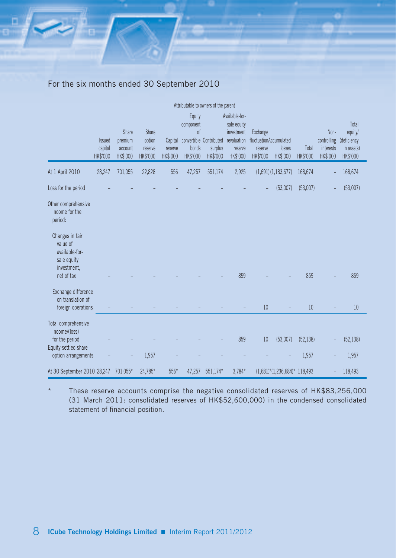#### For the six months ended 30 September 2010

|                                                                                 | Attributable to owners of the parent |                                         |                                        |                                |                                                |                                                |                                                                                   |                                                           |                                                           |                   |                                              |                                                           |
|---------------------------------------------------------------------------------|--------------------------------------|-----------------------------------------|----------------------------------------|--------------------------------|------------------------------------------------|------------------------------------------------|-----------------------------------------------------------------------------------|-----------------------------------------------------------|-----------------------------------------------------------|-------------------|----------------------------------------------|-----------------------------------------------------------|
|                                                                                 | Issued<br>capital<br>HK\$'000        | Share<br>premium<br>account<br>HK\$'000 | Share<br>option<br>reserve<br>HK\$'000 | Capital<br>reserve<br>HK\$'000 | Equity<br>component<br>of<br>bonds<br>HK\$'000 | convertible Contributed<br>surplus<br>HK\$'000 | Available-for-<br>sale equity<br>investment<br>revaluation<br>reserve<br>HK\$'000 | Exchange<br>fluctuationAccumulated<br>reserve<br>HK\$'000 | losses<br>HK\$'000                                        | Total<br>HK\$'000 | Non-<br>controlling<br>interests<br>HK\$'000 | Total<br>equity/<br>(deficiency<br>in assets)<br>HK\$'000 |
| At 1 April 2010                                                                 | 28,247                               | 701,055                                 | 22,828                                 | 556                            | 47,257                                         | 551,174                                        | 2,925                                                                             |                                                           | (1,691)(1,183,677)                                        | 168,674           |                                              | 168,674                                                   |
| Loss for the period                                                             |                                      |                                         |                                        |                                |                                                |                                                |                                                                                   |                                                           | (53,007)                                                  | (53,007)          |                                              | (53,007)                                                  |
| Other comprehensive<br>income for the<br>period:<br>Changes in fair<br>value of |                                      |                                         |                                        |                                |                                                |                                                |                                                                                   |                                                           |                                                           |                   |                                              |                                                           |
| available-for-<br>sale equity<br>investment,<br>net of tax                      |                                      |                                         |                                        |                                |                                                |                                                | 859                                                                               |                                                           |                                                           | 859               |                                              | 859                                                       |
| Exchange difference<br>on translation of<br>foreign operations                  |                                      |                                         |                                        |                                |                                                |                                                |                                                                                   | 10                                                        |                                                           | 10                |                                              | 10                                                        |
| Total comprehensive<br>income/(loss)<br>for the period<br>Equity-settled share  |                                      |                                         |                                        |                                |                                                |                                                | 859                                                                               | 10                                                        | (53,007)                                                  | (52, 138)         |                                              | (52, 138)                                                 |
| option arrangements                                                             |                                      |                                         | 1,957                                  |                                |                                                |                                                |                                                                                   |                                                           |                                                           | 1,957             |                                              | 1,957                                                     |
| At 30 September 2010 28,247                                                     |                                      | 701,055*                                | 24,785*                                | 556*                           | 47,257                                         | 551,174*                                       | $3,784*$                                                                          |                                                           | $(1,681)$ <sup>*</sup> $(1,236,684)$ <sup>*</sup> 118,493 |                   |                                              | 118,493                                                   |

These reserve accounts comprise the negative consolidated reserves of HK\$83,256,000 (31 March 2011: consolidated reserves of HK\$52,600,000) in the condensed consolidated statement of financial position.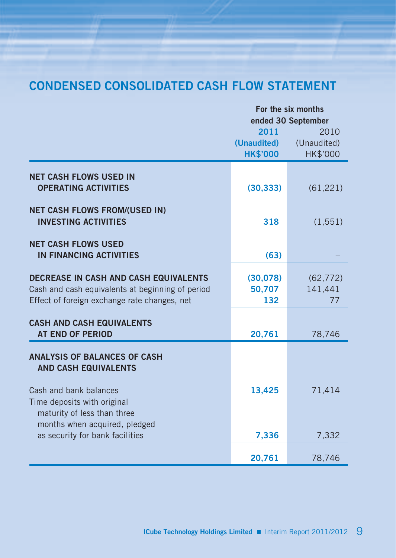# **CONDENSED CONSOLIDATED CASH FLOW STATEMENT**

|                                                                                                  | For the six months                 |                      |  |  |
|--------------------------------------------------------------------------------------------------|------------------------------------|----------------------|--|--|
|                                                                                                  | ended 30 September<br>2011<br>2010 |                      |  |  |
|                                                                                                  | (Unaudited)                        | (Unaudited)          |  |  |
|                                                                                                  | <b>HK\$'000</b>                    | HK\$'000             |  |  |
| <b>NET CASH FLOWS USED IN</b><br><b>OPERATING ACTIVITIES</b>                                     | (30, 333)                          | (61, 221)            |  |  |
| <b>NET CASH FLOWS FROM/(USED IN)</b><br><b>INVESTING ACTIVITIES</b>                              | 318                                | (1, 551)             |  |  |
| <b>NET CASH FLOWS USED</b><br>IN FINANCING ACTIVITIES                                            | (63)                               |                      |  |  |
| <b>DECREASE IN CASH AND CASH EQUIVALENTS</b><br>Cash and cash equivalents at beginning of period | (30,078)<br>50,707                 | (62, 772)<br>141,441 |  |  |
| Effect of foreign exchange rate changes, net                                                     | 132                                | 77                   |  |  |
| <b>CASH AND CASH EQUIVALENTS</b><br><b>AT END OF PERIOD</b>                                      | 20,761                             | 78,746               |  |  |
| <b>ANALYSIS OF BALANCES OF CASH</b><br><b>AND CASH EQUIVALENTS</b>                               |                                    |                      |  |  |
| Cash and bank balances<br>Time deposits with original<br>maturity of less than three             | 13,425                             | 71,414               |  |  |
| months when acquired, pledged<br>as security for bank facilities                                 | 7,336                              | 7,332                |  |  |
|                                                                                                  | 20,761                             | 78,746               |  |  |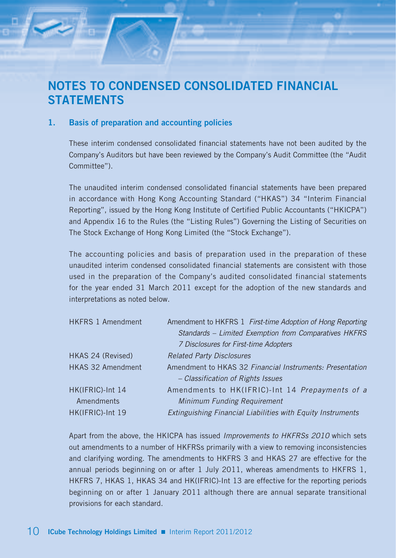# **NOTES TO CONDENSED CONSOLIDATED FINANCIAL STATEMENTS**

#### **1. Basis of preparation and accounting policies**

These interim condensed consolidated financial statements have not been audited by the Company's Auditors but have been reviewed by the Company's Audit Committee (the "Audit Committee").

The unaudited interim condensed consolidated financial statements have been prepared in accordance with Hong Kong Accounting Standard ("HKAS") 34 "Interim Financial Reporting", issued by the Hong Kong Institute of Certified Public Accountants ("HKICPA") and Appendix 16 to the Rules (the "Listing Rules") Governing the Listing of Securities on The Stock Exchange of Hong Kong Limited (the "Stock Exchange").

The accounting policies and basis of preparation used in the preparation of these unaudited interim condensed consolidated financial statements are consistent with those used in the preparation of the Company's audited consolidated financial statements for the year ended 31 March 2011 except for the adoption of the new standards and interpretations as noted below.

| <b>HKFRS 1 Amendment</b> | Amendment to HKFRS 1 First-time Adoption of Hong Reporting  |
|--------------------------|-------------------------------------------------------------|
|                          | Standards - Limited Exemption from Comparatives HKFRS       |
|                          | 7 Disclosures for First-time Adopters                       |
| HKAS 24 (Revised)        | <b>Related Party Disclosures</b>                            |
| <b>HKAS 32 Amendment</b> | Amendment to HKAS 32 Financial Instruments: Presentation    |
|                          | - Classification of Rights Issues                           |
| HK(IFRIC)-Int 14         | Amendments to HK(IFRIC)-Int 14 Prepayments of a             |
| Amendments               | Minimum Funding Requirement                                 |
| HK(IFRIC)-Int 19         | Extinguishing Financial Liabilities with Equity Instruments |
|                          |                                                             |

Apart from the above, the HKICPA has issued *Improvements to HKFRSs 2010* which sets out amendments to a number of HKFRSs primarily with a view to removing inconsistencies and clarifying wording. The amendments to HKFRS 3 and HKAS 27 are effective for the annual periods beginning on or after 1 July 2011, whereas amendments to HKFRS 1, HKFRS 7, HKAS 1, HKAS 34 and HK(IFRIC)-Int 13 are effective for the reporting periods beginning on or after 1 January 2011 although there are annual separate transitional provisions for each standard.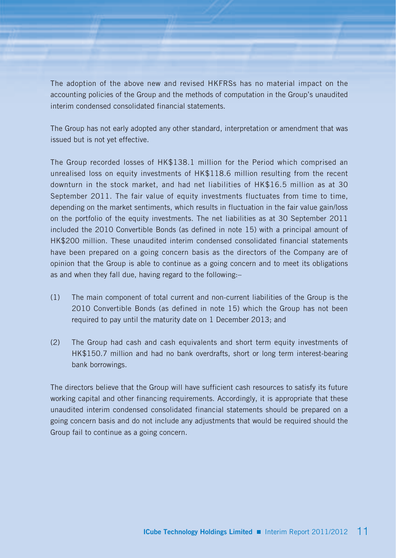The adoption of the above new and revised HKFRSs has no material impact on the accounting policies of the Group and the methods of computation in the Group's unaudited interim condensed consolidated financial statements.

The Group has not early adopted any other standard, interpretation or amendment that was issued but is not yet effective.

The Group recorded losses of HK\$138.1 million for the Period which comprised an unrealised loss on equity investments of HK\$118.6 million resulting from the recent downturn in the stock market, and had net liabilities of HK\$16.5 million as at 30 September 2011. The fair value of equity investments fluctuates from time to time, depending on the market sentiments, which results in fluctuation in the fair value gain/loss on the portfolio of the equity investments. The net liabilities as at 30 September 2011 included the 2010 Convertible Bonds (as defined in note 15) with a principal amount of HK\$200 million. These unaudited interim condensed consolidated financial statements have been prepared on a going concern basis as the directors of the Company are of opinion that the Group is able to continue as a going concern and to meet its obligations as and when they fall due, having regard to the following:–

- (1) The main component of total current and non-current liabilities of the Group is the 2010 Convertible Bonds (as defined in note 15) which the Group has not been required to pay until the maturity date on 1 December 2013; and
- (2) The Group had cash and cash equivalents and short term equity investments of HK\$150.7 million and had no bank overdrafts, short or long term interest-bearing bank borrowings.

The directors believe that the Group will have sufficient cash resources to satisfy its future working capital and other financing requirements. Accordingly, it is appropriate that these unaudited interim condensed consolidated financial statements should be prepared on a going concern basis and do not include any adjustments that would be required should the Group fail to continue as a going concern.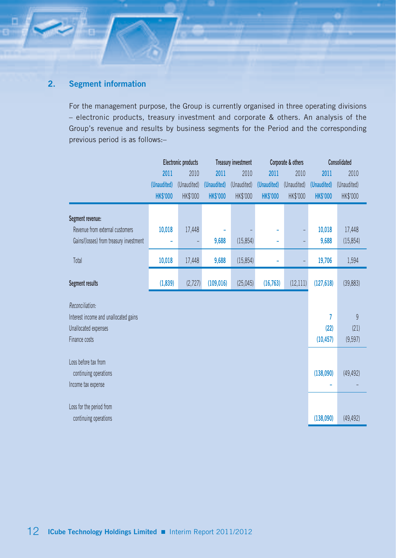#### **2. Segment information**

For the management purpose, the Group is currently organised in three operating divisions – electronic products, treasury investment and corporate & others. An analysis of the Group's revenue and results by business segments for the Period and the corresponding previous period is as follows:–

|                                         | Electronic products |             | <b>Treasury investment</b> |             |                 | Corporate & others | Consolidated    |                |
|-----------------------------------------|---------------------|-------------|----------------------------|-------------|-----------------|--------------------|-----------------|----------------|
|                                         | 2011                | 2010        | 2011                       | 2010        | 2011            | 2010               | 2011            | 2010           |
|                                         | (Unaudited)         | (Unaudited) | (Unaudited)                | (Unaudited) | (Unaudited)     | (Unaudited)        | (Unaudited)     | (Unaudited)    |
|                                         | <b>HK\$'000</b>     | HK\$'000    | <b>HK\$'000</b>            | HK\$'000    | <b>HK\$'000</b> | HK\$'000           | <b>HK\$'000</b> | HK\$'000       |
|                                         |                     |             |                            |             |                 |                    |                 |                |
| Segment revenue:                        |                     |             |                            |             |                 |                    |                 |                |
| Revenue from external customers         | 10,018              | 17,448      |                            |             |                 |                    | 10,018          | 17,448         |
| Gains/(losses) from treasury investment |                     |             | 9,688                      | (15, 854)   |                 |                    | 9,688           | (15, 854)      |
| Total                                   | 10,018              | 17,448      | 9,688                      | (15, 854)   |                 |                    | 19,706          | 1,594          |
| Segment results                         | (1,839)             | (2,727)     | (109, 016)                 | (25,045)    | (16, 763)       | (12,111)           | (127, 618)      | (39, 883)      |
| Reconciliation:                         |                     |             |                            |             |                 |                    |                 |                |
| Interest income and unallocated gains   |                     |             |                            |             |                 |                    | 7               | $\overline{9}$ |
| Unallocated expenses                    |                     |             |                            |             |                 |                    | (22)            | (21)           |
| Finance costs                           |                     |             |                            |             |                 |                    | (10, 457)       | (9, 597)       |
|                                         |                     |             |                            |             |                 |                    |                 |                |
| Loss before tax from                    |                     |             |                            |             |                 |                    |                 |                |
| continuing operations                   |                     |             |                            |             |                 |                    | (138,090)       | (49, 492)      |
| Income tax expense                      |                     |             |                            |             |                 |                    |                 |                |
| Loss for the period from                |                     |             |                            |             |                 |                    |                 |                |
| continuing operations                   |                     |             |                            |             |                 |                    | (138,090)       | (49, 492)      |
|                                         |                     |             |                            |             |                 |                    |                 |                |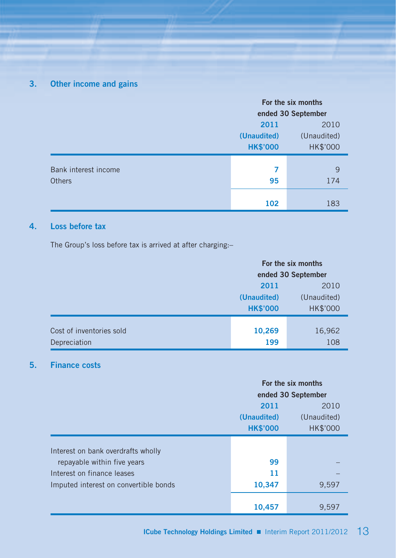### **3. Other income and gains**

|                      | For the six months |             |  |  |
|----------------------|--------------------|-------------|--|--|
|                      | ended 30 September |             |  |  |
|                      | 2011               | 2010        |  |  |
|                      | (Unaudited)        | (Unaudited) |  |  |
|                      | <b>HK\$'000</b>    | HK\$'000    |  |  |
|                      |                    |             |  |  |
| Bank interest income | 7                  | 9           |  |  |
| <b>Others</b>        | 95                 | 174         |  |  |
|                      |                    |             |  |  |
|                      | 102                | 183         |  |  |

#### **4. Loss before tax**

The Group's loss before tax is arrived at after charging:–

|                          | For the six months |             |  |  |
|--------------------------|--------------------|-------------|--|--|
|                          | ended 30 September |             |  |  |
|                          | 2011               | 2010        |  |  |
|                          | (Unaudited)        | (Unaudited) |  |  |
|                          | <b>HK\$'000</b>    | HK\$'000    |  |  |
|                          |                    |             |  |  |
| Cost of inventories sold | 10,269             | 16,962      |  |  |
| Depreciation             | 199                | 108         |  |  |

### **5. Finance costs**

|                                                                                                 | For the six months |             |
|-------------------------------------------------------------------------------------------------|--------------------|-------------|
|                                                                                                 | ended 30 September |             |
|                                                                                                 | 2011               | 2010        |
|                                                                                                 | (Unaudited)        | (Unaudited) |
|                                                                                                 | <b>HK\$'000</b>    | HK\$'000    |
| Interest on bank overdrafts wholly<br>repayable within five years<br>Interest on finance leases | 99<br>11           |             |
| Imputed interest on convertible bonds                                                           | 10,347             | 9,597       |
|                                                                                                 | 10,457             | 9,597       |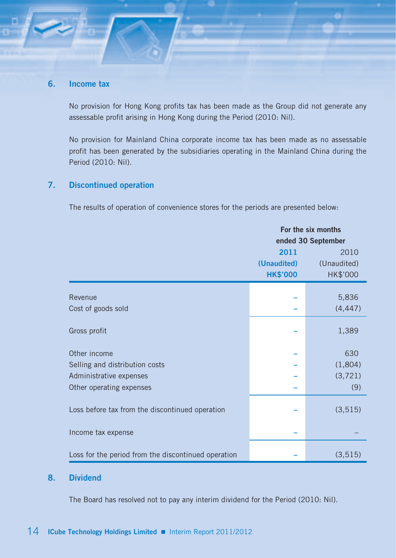#### **6. Income tax**

No provision for Hong Kong profits tax has been made as the Group did not generate any assessable profit arising in Hong Kong during the Period (2010: Nil).

No provision for Mainland China corporate income tax has been made as no assessable profit has been generated by the subsidiaries operating in the Mainland China during the Period (2010: Nil).

#### **7. Discontinued operation**

The results of operation of convenience stores for the periods are presented below:

|                                                     | For the six months |             |
|-----------------------------------------------------|--------------------|-------------|
|                                                     | ended 30 September |             |
|                                                     | 2011               | 2010        |
|                                                     | (Unaudited)        | (Unaudited) |
|                                                     | <b>HK\$'000</b>    | HK\$'000    |
| Revenue                                             |                    | 5,836       |
|                                                     |                    |             |
| Cost of goods sold                                  |                    | (4, 447)    |
| Gross profit                                        |                    | 1,389       |
| Other income                                        |                    | 630         |
| Selling and distribution costs                      |                    | (1,804)     |
| Administrative expenses                             |                    | (3,721)     |
| Other operating expenses                            |                    | (9)         |
| Loss before tax from the discontinued operation     |                    | (3, 515)    |
| Income tax expense                                  |                    |             |
| Loss for the period from the discontinued operation |                    | (3, 515)    |

#### **8. Dividend**

The Board has resolved not to pay any interim dividend for the Period (2010: Nil).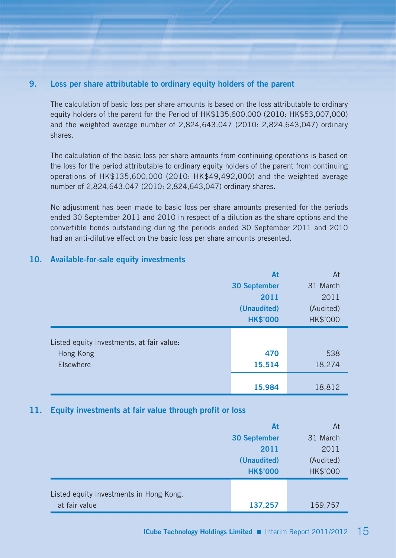#### **9. Loss per share attributable to ordinary equity holders of the parent**

The calculation of basic loss per share amounts is based on the loss attributable to ordinary equity holders of the parent for the Period of HK\$135,600,000 (2010: HK\$53,007,000) and the weighted average number of 2,824,643,047 (2010: 2,824,643,047) ordinary shares.

The calculation of the basic loss per share amounts from continuing operations is based on the loss for the period attributable to ordinary equity holders of the parent from continuing operations of HK\$135,600,000 (2010: HK\$49,492,000) and the weighted average number of 2,824,643,047 (2010: 2,824,643,047) ordinary shares.

No adjustment has been made to basic loss per share amounts presented for the periods ended 30 September 2011 and 2010 in respect of a dilution as the share options and the convertible bonds outstanding during the periods ended 30 September 2011 and 2010 had an anti-dilutive effect on the basic loss per share amounts presented.

## **10. Available-for-sale equity investments**

|                                           | At                  | At        |
|-------------------------------------------|---------------------|-----------|
|                                           | <b>30 September</b> | 31 March  |
|                                           | 2011                | 2011      |
|                                           | (Unaudited)         | (Audited) |
|                                           | <b>HK\$'000</b>     | HK\$'000  |
| Listed equity investments, at fair value: |                     |           |
| Hong Kong                                 | 470                 | 538       |
| <b>Elsewhere</b>                          | 15,514              | 18,274    |
|                                           |                     |           |
|                                           | 15,984              | 18,812    |

#### **11. Equity investments at fair value through profit or loss**

|                                         | At                  | At        |
|-----------------------------------------|---------------------|-----------|
|                                         | <b>30 September</b> | 31 March  |
|                                         | 2011                | 2011      |
|                                         | (Unaudited)         | (Audited) |
|                                         | <b>HK\$'000</b>     | HK\$'000  |
| Listed equity investments in Hong Kong, |                     |           |
| at fair value                           | 137,257             | 159,757   |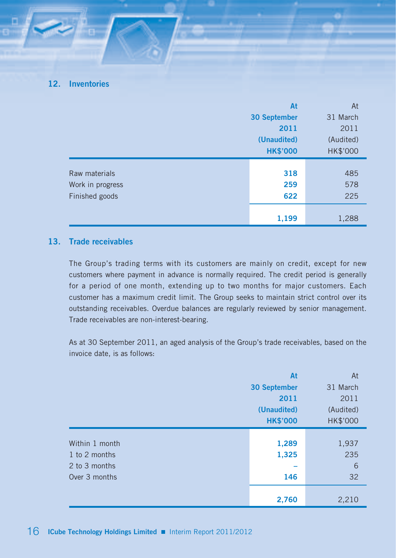#### **12. Inventories**

|                  | At                  | At        |
|------------------|---------------------|-----------|
|                  | <b>30 September</b> | 31 March  |
|                  | 2011                | 2011      |
|                  | (Unaudited)         | (Audited) |
|                  | <b>HK\$'000</b>     | HK\$'000  |
|                  |                     |           |
| Raw materials    | 318                 | 485       |
| Work in progress | 259                 | 578       |
| Finished goods   | 622                 | 225       |
|                  |                     |           |
|                  | 1,199               | 1,288     |

#### **13. Trade receivables**

The Group's trading terms with its customers are mainly on credit, except for new customers where payment in advance is normally required. The credit period is generally for a period of one month, extending up to two months for major customers. Each customer has a maximum credit limit. The Group seeks to maintain strict control over its outstanding receivables. Overdue balances are regularly reviewed by senior management. Trade receivables are non-interest-bearing.

As at 30 September 2011, an aged analysis of the Group's trade receivables, based on the invoice date, is as follows:

|                | At                  | At        |
|----------------|---------------------|-----------|
|                | <b>30 September</b> | 31 March  |
|                | 2011                | 2011      |
|                | (Unaudited)         | (Audited) |
|                | <b>HK\$'000</b>     | HK\$'000  |
|                |                     |           |
| Within 1 month | 1,289               | 1,937     |
| 1 to 2 months  | 1,325               | 235       |
| 2 to 3 months  |                     | 6         |
| Over 3 months  | 146                 | 32        |
|                |                     |           |
|                | 2,760               | 2,210     |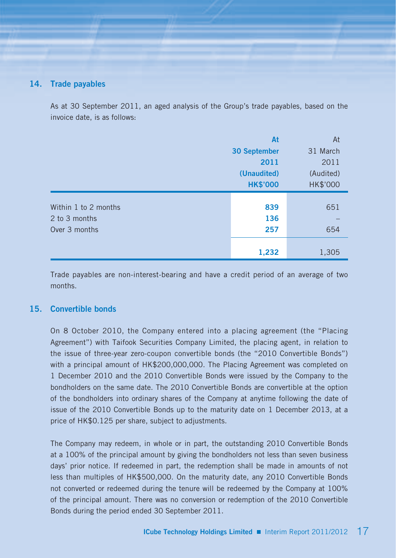#### **14. Trade payables**

As at 30 September 2011, an aged analysis of the Group's trade payables, based on the invoice date, is as follows:

|                      | At                  | At        |
|----------------------|---------------------|-----------|
|                      | <b>30 September</b> | 31 March  |
|                      | 2011                | 2011      |
|                      | (Unaudited)         | (Audited) |
|                      | <b>HK\$'000</b>     | HK\$'000  |
|                      |                     |           |
| Within 1 to 2 months | 839                 | 651       |
| 2 to 3 months        | 136                 |           |
| Over 3 months        | 257                 | 654       |
|                      |                     |           |
|                      | 1,232               | 1,305     |

Trade payables are non-interest-bearing and have a credit period of an average of two months.

#### **15. Convertible bonds**

On 8 October 2010, the Company entered into a placing agreement (the "Placing Agreement") with Taifook Securities Company Limited, the placing agent, in relation to the issue of three-year zero-coupon convertible bonds (the "2010 Convertible Bonds") with a principal amount of HK\$200,000,000. The Placing Agreement was completed on 1 December 2010 and the 2010 Convertible Bonds were issued by the Company to the bondholders on the same date. The 2010 Convertible Bonds are convertible at the option of the bondholders into ordinary shares of the Company at anytime following the date of issue of the 2010 Convertible Bonds up to the maturity date on 1 December 2013, at a price of HK\$0.125 per share, subject to adjustments.

The Company may redeem, in whole or in part, the outstanding 2010 Convertible Bonds at a 100% of the principal amount by giving the bondholders not less than seven business days' prior notice. If redeemed in part, the redemption shall be made in amounts of not less than multiples of HK\$500,000. On the maturity date, any 2010 Convertible Bonds not converted or redeemed during the tenure will be redeemed by the Company at 100% of the principal amount. There was no conversion or redemption of the 2010 Convertible Bonds during the period ended 30 September 2011.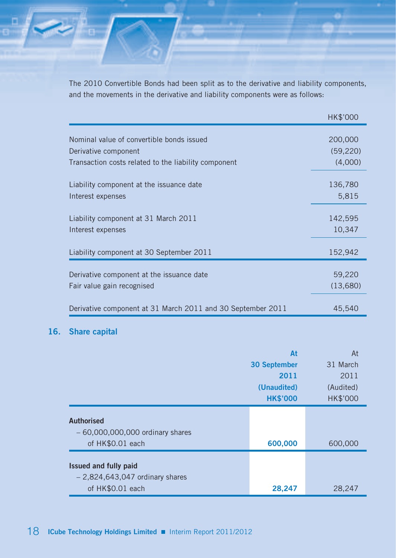The 2010 Convertible Bonds had been split as to the derivative and liability components, and the movements in the derivative and liability components were as follows:

|                                                                         | <b>HK\$'000</b>    |
|-------------------------------------------------------------------------|--------------------|
| Nominal value of convertible bonds issued                               | 200,000            |
| Derivative component                                                    | (59, 220)          |
| Transaction costs related to the liability component                    | (4,000)            |
| Liability component at the issuance date<br>Interest expenses           | 136,780<br>5,815   |
| Liability component at 31 March 2011<br>Interest expenses               | 142,595<br>10,347  |
| Liability component at 30 September 2011                                | 152,942            |
| Derivative component at the issuance date<br>Fair value gain recognised | 59,220<br>(13,680) |
| Derivative component at 31 March 2011 and 30 September 2011             | 45,540             |

### **16. Share capital**

|                                                                               | At                  | At              |
|-------------------------------------------------------------------------------|---------------------|-----------------|
|                                                                               | <b>30 September</b> | 31 March        |
|                                                                               | 2011                | 2011            |
|                                                                               | (Unaudited)         | (Audited)       |
|                                                                               | <b>HK\$'000</b>     | <b>HK\$'000</b> |
| <b>Authorised</b><br>$-60,000,000,000$ ordinary shares<br>of HK\$0.01 each    | 600,000             | 600,000         |
| Issued and fully paid<br>$-2,824,643,047$ ordinary shares<br>of HK\$0.01 each | 28,247              | 28.247          |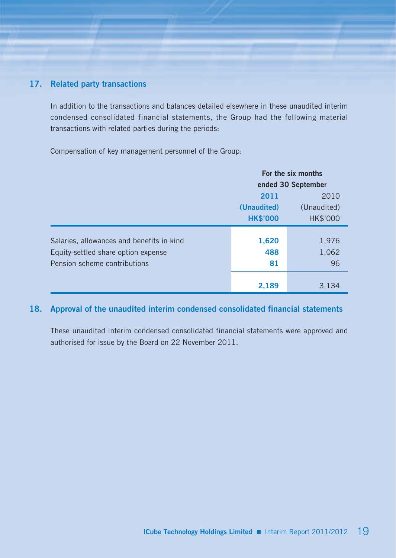#### **17. Related party transactions**

In addition to the transactions and balances detailed elsewhere in these unaudited interim condensed consolidated financial statements, the Group had the following material transactions with related parties during the periods:

Compensation of key management personnel of the Group:

|                                           | For the six months |             |
|-------------------------------------------|--------------------|-------------|
|                                           | ended 30 September |             |
|                                           | 2011               | 2010        |
|                                           | (Unaudited)        | (Unaudited) |
|                                           | <b>HK\$'000</b>    | HK\$'000    |
|                                           |                    |             |
| Salaries, allowances and benefits in kind | 1,620              | 1,976       |
| Equity-settled share option expense       | 488                | 1,062       |
| Pension scheme contributions              | 81                 | 96          |
|                                           |                    |             |
|                                           | 2.189              | 3,134       |

#### **18. Approval of the unaudited interim condensed consolidated financial statements**

These unaudited interim condensed consolidated financial statements were approved and authorised for issue by the Board on 22 November 2011.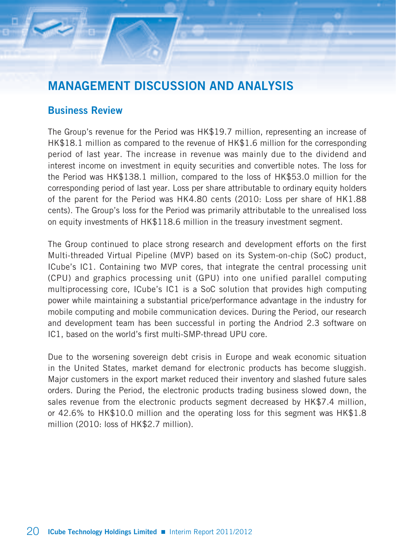# **MANAGEMENT DISCUSSION AND ANALYSIS**

### **Business Review**

The Group's revenue for the Period was HK\$19.7 million, representing an increase of HK\$18.1 million as compared to the revenue of HK\$1.6 million for the corresponding period of last year. The increase in revenue was mainly due to the dividend and interest income on investment in equity securities and convertible notes. The loss for the Period was HK\$138.1 million, compared to the loss of HK\$53.0 million for the corresponding period of last year. Loss per share attributable to ordinary equity holders of the parent for the Period was HK4.80 cents (2010: Loss per share of HK1.88 cents). The Group's loss for the Period was primarily attributable to the unrealised loss on equity investments of HK\$118.6 million in the treasury investment segment.

The Group continued to place strong research and development efforts on the first Multi-threaded Virtual Pipeline (MVP) based on its System-on-chip (SoC) product, ICube's IC1. Containing two MVP cores, that integrate the central processing unit (CPU) and graphics processing unit (GPU) into one unified parallel computing multiprocessing core, ICube's IC1 is a SoC solution that provides high computing power while maintaining a substantial price/performance advantage in the industry for mobile computing and mobile communication devices. During the Period, our research and development team has been successful in porting the Andriod 2.3 software on IC1, based on the world's first multi-SMP-thread UPU core.

Due to the worsening sovereign debt crisis in Europe and weak economic situation in the United States, market demand for electronic products has become sluggish. Major customers in the export market reduced their inventory and slashed future sales orders. During the Period, the electronic products trading business slowed down, the sales revenue from the electronic products segment decreased by HK\$7.4 million, or 42.6% to HK\$10.0 million and the operating loss for this segment was HK\$1.8 million (2010: loss of HK\$2.7 million).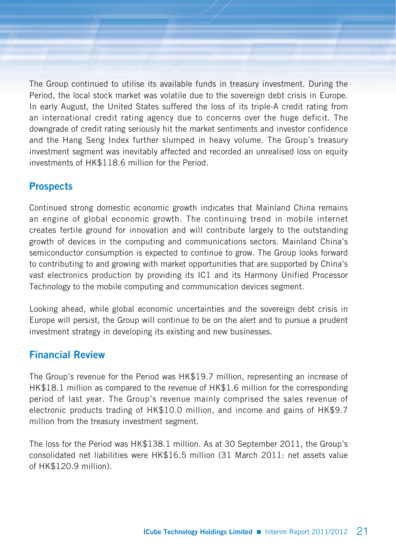The Group continued to utilise its available funds in treasury investment. During the Period, the local stock market was volatile due to the sovereign debt crisis in Europe. In early August, the United States suffered the loss of its triple-A credit rating from an international credit rating agency due to concerns over the huge deficit. The downgrade of credit rating seriously hit the market sentiments and investor confidence and the Hang Seng Index further slumped in heavy volume. The Group's treasury investment segment was inevitably affected and recorded an unrealised loss on equity investments of HK\$118.6 million for the Period.

### **Prospects**

Continued strong domestic economic growth indicates that Mainland China remains an engine of global economic growth. The continuing trend in mobile internet creates fertile ground for innovation and will contribute largely to the outstanding growth of devices in the computing and communications sectors. Mainland China's semiconductor consumption is expected to continue to grow. The Group looks forward to contributing to and growing with market opportunities that are supported by China's vast electronics production by providing its IC1 and its Harmony Unified Processor Technology to the mobile computing and communication devices segment.

Looking ahead, while global economic uncertainties and the sovereign debt crisis in Europe will persist, the Group will continue to be on the alert and to pursue a prudent investment strategy in developing its existing and new businesses.

### **Financial Review**

The Group's revenue for the Period was HK\$19.7 million, representing an increase of HK\$18.1 million as compared to the revenue of HK\$1.6 million for the corresponding period of last year. The Group's revenue mainly comprised the sales revenue of electronic products trading of HK\$10.0 million, and income and gains of HK\$9.7 million from the treasury investment segment.

The loss for the Period was HK\$138.1 million. As at 30 September 2011, the Group's consolidated net liabilities were HK\$16.5 million (31 March 2011: net assets value of HK\$120.9 million).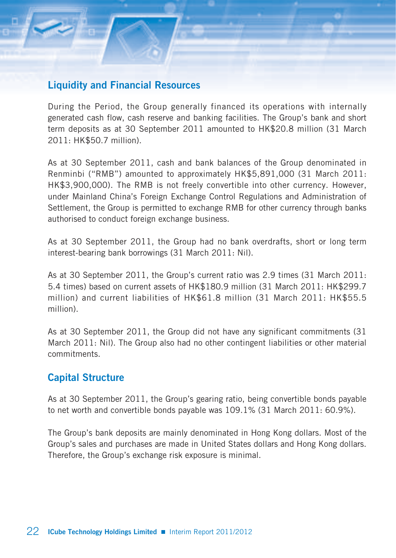## **Liquidity and Financial Resources**

During the Period, the Group generally financed its operations with internally generated cash flow, cash reserve and banking facilities. The Group's bank and short term deposits as at 30 September 2011 amounted to HK\$20.8 million (31 March 2011: HK\$50.7 million).

As at 30 September 2011, cash and bank balances of the Group denominated in Renminbi ("RMB") amounted to approximately HK\$5,891,000 (31 March 2011: HK\$3,900,000). The RMB is not freely convertible into other currency. However, under Mainland China's Foreign Exchange Control Regulations and Administration of Settlement, the Group is permitted to exchange RMB for other currency through banks authorised to conduct foreign exchange business.

As at 30 September 2011, the Group had no bank overdrafts, short or long term interest-bearing bank borrowings (31 March 2011: Nil).

As at 30 September 2011, the Group's current ratio was 2.9 times (31 March 2011: 5.4 times) based on current assets of HK\$180.9 million (31 March 2011: HK\$299.7 million) and current liabilities of HK\$61.8 million (31 March 2011: HK\$55.5 million).

As at 30 September 2011, the Group did not have any significant commitments (31 March 2011: Nil). The Group also had no other contingent liabilities or other material commitments.

### **Capital Structure**

As at 30 September 2011, the Group's gearing ratio, being convertible bonds payable to net worth and convertible bonds payable was 109.1% (31 March 2011: 60.9%).

The Group's bank deposits are mainly denominated in Hong Kong dollars. Most of the Group's sales and purchases are made in United States dollars and Hong Kong dollars. Therefore, the Group's exchange risk exposure is minimal.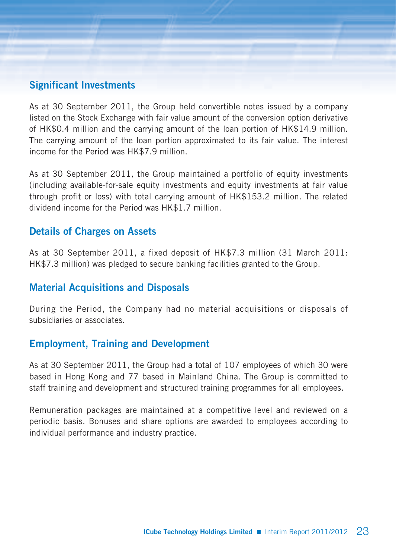### **Significant Investments**

As at 30 September 2011, the Group held convertible notes issued by a company listed on the Stock Exchange with fair value amount of the conversion option derivative of HK\$0.4 million and the carrying amount of the loan portion of HK\$14.9 million. The carrying amount of the loan portion approximated to its fair value. The interest income for the Period was HK\$7.9 million.

As at 30 September 2011, the Group maintained a portfolio of equity investments (including available-for-sale equity investments and equity investments at fair value through profit or loss) with total carrying amount of HK\$153.2 million. The related dividend income for the Period was HK\$1.7 million.

### **Details of Charges on Assets**

As at 30 September 2011, a fixed deposit of HK\$7.3 million (31 March 2011: HK\$7.3 million) was pledged to secure banking facilities granted to the Group.

### **Material Acquisitions and Disposals**

During the Period, the Company had no material acquisitions or disposals of subsidiaries or associates.

### **Employment, Training and Development**

As at 30 September 2011, the Group had a total of 107 employees of which 30 were based in Hong Kong and 77 based in Mainland China. The Group is committed to staff training and development and structured training programmes for all employees.

Remuneration packages are maintained at a competitive level and reviewed on a periodic basis. Bonuses and share options are awarded to employees according to individual performance and industry practice.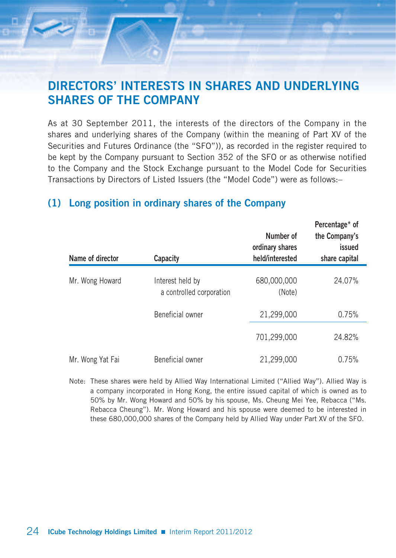# **DIRECTORS' INTERESTS IN SHARES AND UNDERLYING SHARES OF THE COMPANY**

As at 30 September 2011, the interests of the directors of the Company in the shares and underlying shares of the Company (within the meaning of Part XV of the Securities and Futures Ordinance (the "SFO")), as recorded in the register required to be kept by the Company pursuant to Section 352 of the SFO or as otherwise notified to the Company and the Stock Exchange pursuant to the Model Code for Securities Transactions by Directors of Listed Issuers (the "Model Code") were as follows:–

### **(1) Long position in ordinary shares of the Company**

| Name of director | Capacity                                     | Number of<br>ordinary shares<br>held/interested | Percentage <sup>*</sup> of<br>the Company's<br>issued<br>share capital |
|------------------|----------------------------------------------|-------------------------------------------------|------------------------------------------------------------------------|
| Mr. Wong Howard  | Interest held by<br>a controlled corporation | 680,000,000<br>(Note)                           | 24.07%                                                                 |
|                  | Beneficial owner                             | 21,299,000                                      | 0.75%                                                                  |
|                  |                                              | 701,299,000                                     | 24.82%                                                                 |
| Mr. Wong Yat Fai | Beneficial owner                             | 21,299,000                                      | 0.75%                                                                  |

Note: These shares were held by Allied Way International Limited ("Allied Way"). Allied Way is a company incorporated in Hong Kong, the entire issued capital of which is owned as to 50% by Mr. Wong Howard and 50% by his spouse, Ms. Cheung Mei Yee, Rebacca ("Ms. Rebacca Cheung"). Mr. Wong Howard and his spouse were deemed to be interested in these 680,000,000 shares of the Company held by Allied Way under Part XV of the SFO.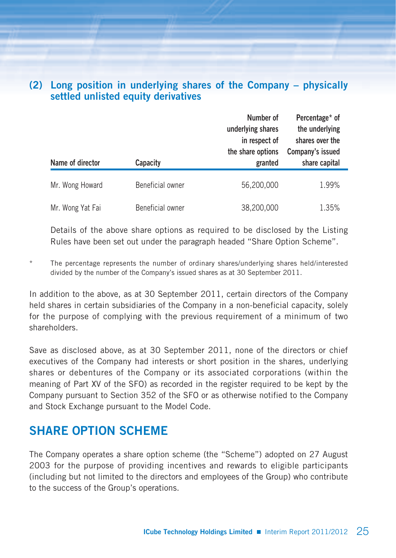### **(2) Long position in underlying shares of the Company – physically settled unlisted equity derivatives**

| Name of director | Capacity         | Number of<br>underlying shares<br>in respect of<br>the share options<br>granted | Percentage* of<br>the underlying<br>shares over the<br>Company's issued<br>share capital |
|------------------|------------------|---------------------------------------------------------------------------------|------------------------------------------------------------------------------------------|
| Mr. Wong Howard  | Beneficial owner | 56,200,000                                                                      | 1.99%                                                                                    |
| Mr. Wong Yat Fai | Beneficial owner | 38,200,000                                                                      | 1.35%                                                                                    |

Details of the above share options as required to be disclosed by the Listing Rules have been set out under the paragraph headed "Share Option Scheme".

The percentage represents the number of ordinary shares/underlying shares held/interested divided by the number of the Company's issued shares as at 30 September 2011.

In addition to the above, as at 30 September 2011, certain directors of the Company held shares in certain subsidiaries of the Company in a non-beneficial capacity, solely for the purpose of complying with the previous requirement of a minimum of two shareholders.

Save as disclosed above, as at 30 September 2011, none of the directors or chief executives of the Company had interests or short position in the shares, underlying shares or debentures of the Company or its associated corporations (within the meaning of Part XV of the SFO) as recorded in the register required to be kept by the Company pursuant to Section 352 of the SFO or as otherwise notified to the Company and Stock Exchange pursuant to the Model Code.

# **SHARE OPTION SCHEME**

The Company operates a share option scheme (the "Scheme") adopted on 27 August 2003 for the purpose of providing incentives and rewards to eligible participants (including but not limited to the directors and employees of the Group) who contribute to the success of the Group's operations.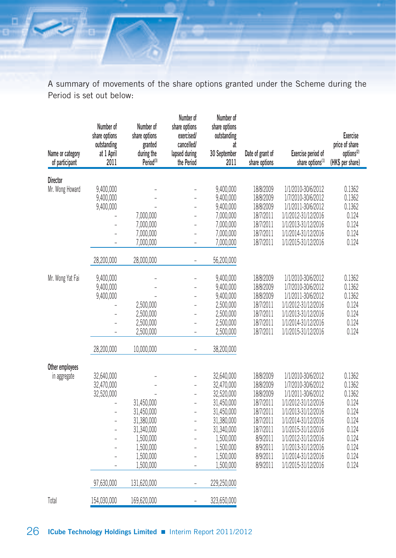A summary of movements of the share options granted under the Scheme during the Period is set out below:

| Name or category<br>of participant | Number of<br>share options<br>outstanding<br>at 1 April<br>2011 | Number of<br>share options<br>granted<br>during the<br>Period <sup>(3)</sup>                                            | Number of<br>share options<br>exercised/<br>cancelled/<br>lapsed during<br>the Period                                                       | Number of<br>share options<br>outstanding<br>at<br>30 September<br>2011                                                                                           | Date of grant of<br>share options                                                                                                       | Exercise period of<br>share options <sup>(1)</sup>                                                                                                                                                                                                     | <b>Exercise</b><br>price of share<br>options <sup>(2)</sup><br>(HK\$ per share)                    |
|------------------------------------|-----------------------------------------------------------------|-------------------------------------------------------------------------------------------------------------------------|---------------------------------------------------------------------------------------------------------------------------------------------|-------------------------------------------------------------------------------------------------------------------------------------------------------------------|-----------------------------------------------------------------------------------------------------------------------------------------|--------------------------------------------------------------------------------------------------------------------------------------------------------------------------------------------------------------------------------------------------------|----------------------------------------------------------------------------------------------------|
| <b>Director</b>                    |                                                                 |                                                                                                                         |                                                                                                                                             |                                                                                                                                                                   |                                                                                                                                         |                                                                                                                                                                                                                                                        |                                                                                                    |
| Mr. Wong Howard                    | 9,400,000<br>9,400,000<br>9,400,000                             | 7,000,000<br>7,000,000<br>7,000,000<br>7,000,000                                                                        | $\overline{a}$<br>$\overline{a}$                                                                                                            | 9,400,000<br>9,400,000<br>9,400,000<br>7,000,000<br>7,000,000<br>7,000,000<br>7,000,000                                                                           | 18/8/2009<br>18/8/2009<br>18/8/2009<br>18/7/2011<br>18/7/2011<br>18/7/2011<br>18/7/2011                                                 | 1/1/2010-30/6/2012<br>1/7/2010-30/6/2012<br>1/1/2011-30/6/2012<br>1/1/2012-31/12/2016<br>1/1/2013-31/12/2016<br>1/1/2014-31/12/2016<br>1/1/2015-31/12/2016                                                                                             | 0.1362<br>0.1362<br>0.1362<br>0.124<br>0.124<br>0.124<br>0.124                                     |
|                                    |                                                                 |                                                                                                                         | $\overline{\phantom{a}}$                                                                                                                    |                                                                                                                                                                   |                                                                                                                                         |                                                                                                                                                                                                                                                        |                                                                                                    |
|                                    | 28,200,000                                                      | 28,000,000                                                                                                              |                                                                                                                                             | 56,200,000                                                                                                                                                        |                                                                                                                                         |                                                                                                                                                                                                                                                        |                                                                                                    |
| Mr. Wong Yat Fai                   | 9,400,000<br>9,400,000<br>9,400,000                             | 2,500,000<br>2,500,000<br>2,500,000<br>2,500,000                                                                        | L,<br>$\overline{a}$<br>$\overline{a}$<br>$\overline{a}$<br>$\overline{a}$<br>$\overline{a}$                                                | 9,400,000<br>9,400,000<br>9,400,000<br>2,500,000<br>2,500,000<br>2,500,000<br>2,500,000                                                                           | 18/8/2009<br>18/8/2009<br>18/8/2009<br>18/7/2011<br>18/7/2011<br>18/7/2011<br>18/7/2011                                                 | 1/1/2010-30/6/2012<br>1/7/2010-30/6/2012<br>1/1/2011-30/6/2012<br>1/1/2012-31/12/2016<br>1/1/2013-31/12/2016<br>1/1/2014-31/12/2016<br>1/1/2015-31/12/2016                                                                                             | 0.1362<br>0.1362<br>0.1362<br>0.124<br>0.124<br>0.124<br>0.124                                     |
|                                    | 28,200,000                                                      | 10,000,000                                                                                                              |                                                                                                                                             | 38,200,000                                                                                                                                                        |                                                                                                                                         |                                                                                                                                                                                                                                                        |                                                                                                    |
| Other employees<br>in aggregate    | 32,640,000<br>32,470,000<br>32,520,000<br>97,630,000            | 31,450,000<br>31,450,000<br>31,380,000<br>31,340,000<br>1,500,000<br>1,500,000<br>1,500,000<br>1,500,000<br>131,620,000 | L,<br>$\overline{a}$<br>$\overline{a}$<br>$\overline{a}$<br>$\overline{a}$<br>$\overline{a}$<br>÷,<br>$\overline{a}$<br>$\overline{a}$<br>- | 32,640,000<br>32,470,000<br>32,520,000<br>31,450,000<br>31,450,000<br>31,380,000<br>31,340,000<br>1,500,000<br>1,500,000<br>1,500,000<br>1,500,000<br>229,250,000 | 18/8/2009<br>18/8/2009<br>18/8/2009<br>18/7/2011<br>18/7/2011<br>18/7/2011<br>18/7/2011<br>8/9/2011<br>8/9/2011<br>8/9/2011<br>8/9/2011 | 1/1/2010-30/6/2012<br>1/7/2010-30/6/2012<br>1/1/2011-30/6/2012<br>1/1/2012-31/12/2016<br>1/1/2013-31/12/2016<br>1/1/2014-31/12/2016<br>1/1/2015-31/12/2016<br>1/1/2012-31/12/2016<br>1/1/2013-31/12/2016<br>1/1/2014-31/12/2016<br>1/1/2015-31/12/2016 | 0.1362<br>0.1362<br>0.1362<br>0.124<br>0.124<br>0.124<br>0.124<br>0.124<br>0.124<br>0.124<br>0.124 |
| Total                              | 154,030,000                                                     | 169,620,000                                                                                                             | $\overline{\phantom{a}}$                                                                                                                    | 323,650,000                                                                                                                                                       |                                                                                                                                         |                                                                                                                                                                                                                                                        |                                                                                                    |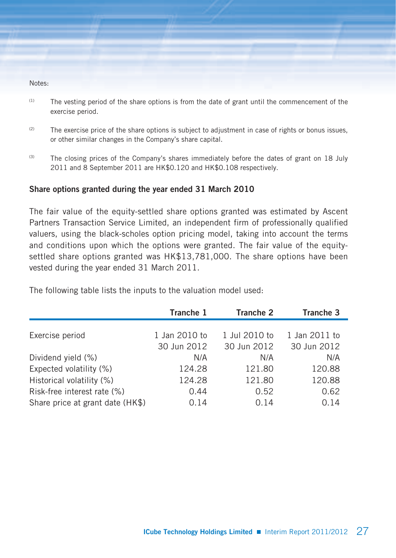#### Notes:

- (1) The vesting period of the share options is from the date of grant until the commencement of the exercise period.
- $(2)$  The exercise price of the share options is subject to adjustment in case of rights or bonus issues, or other similar changes in the Company's share capital.
- <sup>(3)</sup> The closing prices of the Company's shares immediately before the dates of grant on 18 July 2011 and 8 September 2011 are HK\$0.120 and HK\$0.108 respectively.

#### **Share options granted during the year ended 31 March 2010**

The fair value of the equity-settled share options granted was estimated by Ascent Partners Transaction Service Limited, an independent firm of professionally qualified valuers, using the black-scholes option pricing model, taking into account the terms and conditions upon which the options were granted. The fair value of the equitysettled share options granted was HK\$13,781,000. The share options have been vested during the year ended 31 March 2011.

**Tranche 1 Tranche 2 Tranche 3** Exercise period 1 Jan 2010 to 1 Jul 2010 to 1 Jan 2011 to 30 Jun 2012 30 Jun 2012 30 Jun 2012 Dividend yield (%) N/A N/A N/A N/A Expected volatility (%) 124.28 121.80 120.88 Historical volatility (%) 124.28 121.80 120.88 Risk-free interest rate (%) 0.44 0.52 0.62 Share price at grant date (HK\$)  $0.14$  0.14 0.14

The following table lists the inputs to the valuation model used: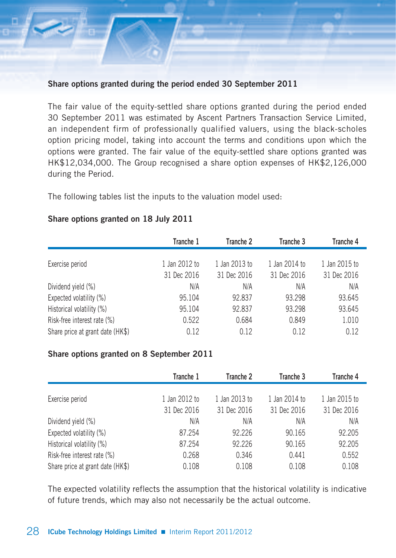#### **Share options granted during the period ended 30 September 2011**

The fair value of the equity-settled share options granted during the period ended 30 September 2011 was estimated by Ascent Partners Transaction Service Limited, an independent firm of professionally qualified valuers, using the black-scholes option pricing model, taking into account the terms and conditions upon which the options were granted. The fair value of the equity-settled share options granted was HK\$12,034,000. The Group recognised a share option expenses of HK\$2,126,000 during the Period.

The following tables list the inputs to the valuation model used:

#### **Share options granted on 18 July 2011**

|                                  | Tranche 1     | Tranche 2     | Tranche 3     | Tranche 4     |
|----------------------------------|---------------|---------------|---------------|---------------|
|                                  |               |               |               |               |
| Exercise period                  | 1 Jan 2012 to | 1 Jan 2013 to | 1 Jan 2014 to | 1 Jan 2015 to |
|                                  | 31 Dec 2016   | 31 Dec 2016   | 31 Dec 2016   | 31 Dec 2016   |
| Dividend yield (%)               | N/A           | N/A           | N/A           | N/A           |
| Expected volatility (%)          | 95.104        | 92.837        | 93.298        | 93.645        |
| Historical volatility (%)        | 95.104        | 92.837        | 93.298        | 93.645        |
| Risk-free interest rate (%)      | 0.522         | 0.684         | 0.849         | 1.010         |
| Share price at grant date (HK\$) | 0.12          | 0.12          | 0.12          | 0.12          |

#### **Share options granted on 8 September 2011**

|                                  | Tranche 1     | Tranche 2     | Tranche 3     | Tranche 4     |
|----------------------------------|---------------|---------------|---------------|---------------|
|                                  |               |               |               |               |
| Exercise period                  | 1 Jan 2012 to | 1 Jan 2013 to | 1 Jan 2014 to | 1 Jan 2015 to |
|                                  | 31 Dec 2016   | 31 Dec 2016   | 31 Dec 2016   | 31 Dec 2016   |
| Dividend yield (%)               | N/A           | N/A           | N/A           | N/A           |
| Expected volatility (%)          | 87.254        | 92.226        | 90.165        | 92.205        |
| Historical volatility (%)        | 87.254        | 92.226        | 90.165        | 92.205        |
| Risk-free interest rate (%)      | 0.268         | 0.346         | 0.441         | 0.552         |
| Share price at grant date (HK\$) | 0.108         | 0.108         | 0.108         | 0.108         |

The expected volatility reflects the assumption that the historical volatility is indicative of future trends, which may also not necessarily be the actual outcome.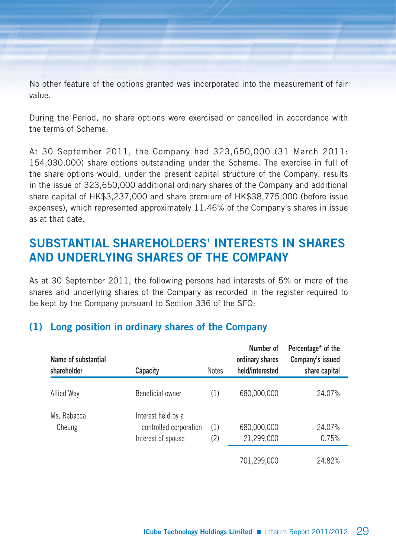No other feature of the options granted was incorporated into the measurement of fair value.

During the Period, no share options were exercised or cancelled in accordance with the terms of Scheme.

At 30 September 2011, the Company had 323,650,000 (31 March 2011: 154,030,000) share options outstanding under the Scheme. The exercise in full of the share options would, under the present capital structure of the Company, results in the issue of 323,650,000 additional ordinary shares of the Company and additional share capital of HK\$3,237,000 and share premium of HK\$38,775,000 (before issue expenses), which represented approximately 11.46% of the Company's shares in issue as at that date.

# **SUBSTANTIAL SHAREHOLDERS' INTERESTS IN SHARES AND UNDERLYING SHARES OF THE COMPANY**

As at 30 September 2011, the following persons had interests of 5% or more of the shares and underlying shares of the Company as recorded in the register required to be kept by the Company pursuant to Section 336 of the SFO:

### **(1) Long position in ordinary shares of the Company**

| Name of substantial<br>shareholder | Capacity                                                           | <b>Notes</b> | Number of<br>ordinary shares<br>held/interested | Percentage* of the<br>Company's issued<br>share capital |
|------------------------------------|--------------------------------------------------------------------|--------------|-------------------------------------------------|---------------------------------------------------------|
| Allied Way                         | Beneficial owner                                                   | (1)          | 680,000,000                                     | 24.07%                                                  |
| Ms. Rebacca<br>Cheung              | Interest held by a<br>controlled corporation<br>Interest of spouse | (1)<br>(2)   | 680,000,000<br>21,299,000                       | 24.07%<br>0.75%                                         |
|                                    |                                                                    |              | 701.299.000                                     | 24.82%                                                  |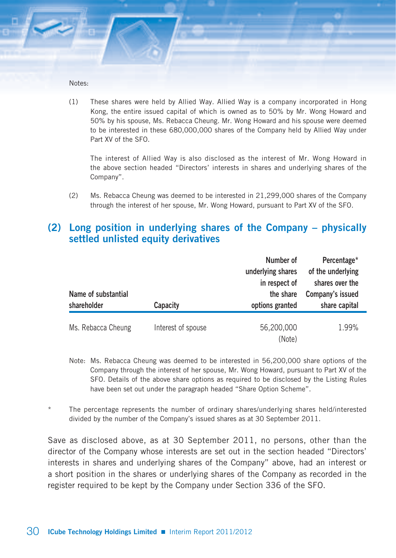Notes:

(1) These shares were held by Allied Way. Allied Way is a company incorporated in Hong Kong, the entire issued capital of which is owned as to 50% by Mr. Wong Howard and 50% by his spouse, Ms. Rebacca Cheung. Mr. Wong Howard and his spouse were deemed to be interested in these 680,000,000 shares of the Company held by Allied Way under Part XV of the SFO.

 The interest of Allied Way is also disclosed as the interest of Mr. Wong Howard in the above section headed "Directors' interests in shares and underlying shares of the Company".

(2) Ms. Rebacca Cheung was deemed to be interested in 21,299,000 shares of the Company through the interest of her spouse, Mr. Wong Howard, pursuant to Part XV of the SFO.

### **(2) Long position in underlying shares of the Company – physically settled unlisted equity derivatives**

| Name of substantial<br>shareholder<br>Capacity |                    | Number of<br>underlying shares<br>in respect of<br>the share<br>options granted | Percentage*<br>of the underlying<br>shares over the<br>Company's issued<br>share capital |
|------------------------------------------------|--------------------|---------------------------------------------------------------------------------|------------------------------------------------------------------------------------------|
| Ms. Rebacca Cheung                             | Interest of spouse | 56,200,000<br>(Note)                                                            | 1.99%                                                                                    |

- Note: Ms. Rebacca Cheung was deemed to be interested in 56,200,000 share options of the Company through the interest of her spouse, Mr. Wong Howard, pursuant to Part XV of the SFO. Details of the above share options as required to be disclosed by the Listing Rules have been set out under the paragraph headed "Share Option Scheme".
- The percentage represents the number of ordinary shares/underlying shares held/interested divided by the number of the Company's issued shares as at 30 September 2011.

Save as disclosed above, as at 30 September 2011, no persons, other than the director of the Company whose interests are set out in the section headed "Directors' interests in shares and underlying shares of the Company" above, had an interest or a short position in the shares or underlying shares of the Company as recorded in the register required to be kept by the Company under Section 336 of the SFO.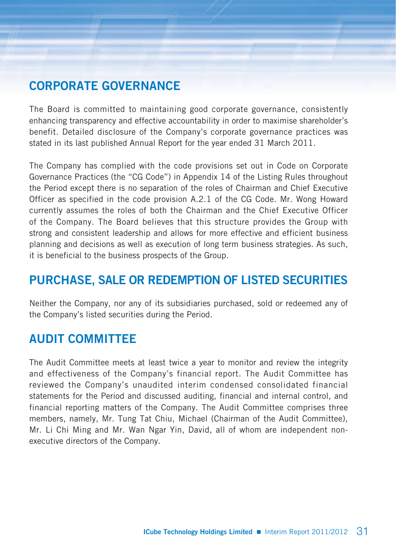# **CORPORATE GOVERNANCE**

The Board is committed to maintaining good corporate governance, consistently enhancing transparency and effective accountability in order to maximise shareholder's benefit. Detailed disclosure of the Company's corporate governance practices was stated in its last published Annual Report for the year ended 31 March 2011.

The Company has complied with the code provisions set out in Code on Corporate Governance Practices (the "CG Code") in Appendix 14 of the Listing Rules throughout the Period except there is no separation of the roles of Chairman and Chief Executive Officer as specified in the code provision A.2.1 of the CG Code. Mr. Wong Howard currently assumes the roles of both the Chairman and the Chief Executive Officer of the Company. The Board believes that this structure provides the Group with strong and consistent leadership and allows for more effective and efficient business planning and decisions as well as execution of long term business strategies. As such, it is beneficial to the business prospects of the Group.

# **PURCHASE, SALE OR REDEMPTION OF LISTED SECURITIES**

Neither the Company, nor any of its subsidiaries purchased, sold or redeemed any of the Company's listed securities during the Period.

# **AUDIT COMMITTEE**

The Audit Committee meets at least twice a year to monitor and review the integrity and effectiveness of the Company's financial report. The Audit Committee has reviewed the Company's unaudited interim condensed consolidated financial statements for the Period and discussed auditing, financial and internal control, and financial reporting matters of the Company. The Audit Committee comprises three members, namely, Mr. Tung Tat Chiu, Michael (Chairman of the Audit Committee), Mr. Li Chi Ming and Mr. Wan Ngar Yin, David, all of whom are independent nonexecutive directors of the Company.